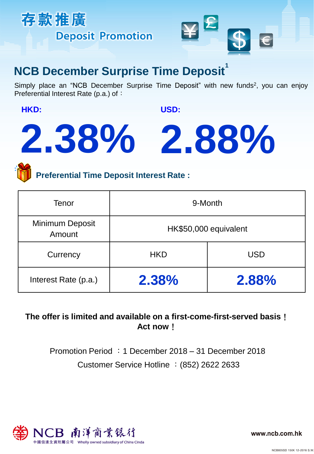



## **NCB December Surprise Time Deposit**

Simply place an "NCB December Surprise Time Deposit" with new funds<sup>2</sup>, you can enjoy Preferential Interest Rate (p.a.) of:

**HKD:** 

**USD:** 

# **2.38% 2.88%**

**Preferential Time Deposit Interest Rate :**

| Tenor                     | 9-Month               |            |
|---------------------------|-----------------------|------------|
| Minimum Deposit<br>Amount | HK\$50,000 equivalent |            |
| Currency                  | <b>HKD</b>            | <b>USD</b> |
| Interest Rate (p.a.)      | 2.38%                 | 2.88%      |

## **The offer is limited and available on a first-come-first-served basis**! **Act now**!

Customer Service Hotline :(852) 2622 2633 Promotion Period :1 December 2018 – 31 December 2018



www.ncb.com.hk